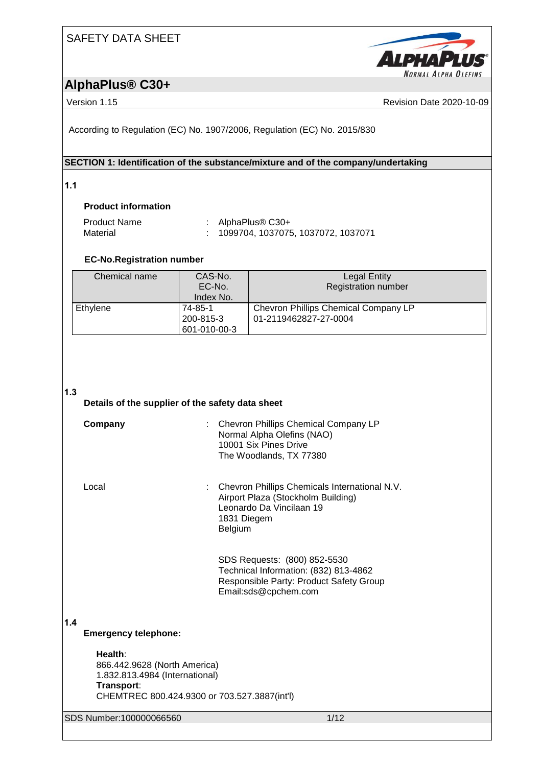### SAFETY DATA SHEET



### **AlphaPlus® C30+**

Version 1.15 **News** President Contract Contract Contract Contract Contract Contract Contract Contract Contract Contract Contract Contract Contract Contract Contract Contract Contract Contract Contract Contract Contract Con

According to Regulation (EC) No. 1907/2006, Regulation (EC) No. 2015/830

#### **SECTION 1: Identification of the substance/mixture and of the company/undertaking**

**1.1** 

#### **Product information**

| <b>Product Name</b> | : AlphaPlus $\circledR$ C30+         |
|---------------------|--------------------------------------|
| Material            | : 1099704, 1037075, 1037072, 1037071 |

#### **EC-No.Registration number**

| Chemical name | CAS-No.<br>EC-No.<br>Index No.       | <b>Legal Entity</b><br><b>Registration number</b>             |
|---------------|--------------------------------------|---------------------------------------------------------------|
| Ethylene      | 74-85-1<br>200-815-3<br>601-010-00-3 | Chevron Phillips Chemical Company LP<br>01-2119462827-27-0004 |

#### **1.3**

#### **Details of the supplier of the safety data sheet**

| Company | : Chevron Phillips Chemical Company LP<br>Normal Alpha Olefins (NAO)<br>10001 Six Pines Drive<br>The Woodlands, TX 77380 |
|---------|--------------------------------------------------------------------------------------------------------------------------|
|         |                                                                                                                          |

Local : Chevron Phillips Chemicals International N.V. Airport Plaza (Stockholm Building) Leonardo Da Vincilaan 19 1831 Diegem Belgium

> SDS Requests: (800) 852-5530 Technical Information: (832) 813-4862 Responsible Party: Product Safety Group Email:sds@cpchem.com

#### **1.4**

#### **Emergency telephone:**

**Health**: 866.442.9628 (North America) 1.832.813.4984 (International) **Transport**: CHEMTREC 800.424.9300 or 703.527.3887(int'l)

SDS Number:100000066560 1/12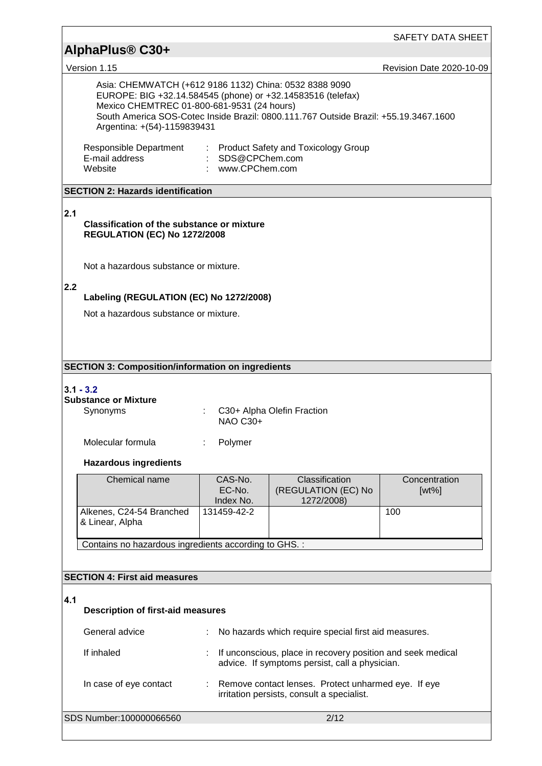|                                                                                                                                          |                                                                                                   |                                                                                                               | SAFETY DATA SHEET               |  |  |  |
|------------------------------------------------------------------------------------------------------------------------------------------|---------------------------------------------------------------------------------------------------|---------------------------------------------------------------------------------------------------------------|---------------------------------|--|--|--|
| AlphaPlus <sup>®</sup> C30+                                                                                                              |                                                                                                   |                                                                                                               |                                 |  |  |  |
| Version 1.15<br>Asia: CHEMWATCH (+612 9186 1132) China: 0532 8388 9090                                                                   |                                                                                                   |                                                                                                               | <b>Revision Date 2020-10-09</b> |  |  |  |
| EUROPE: BIG +32.14.584545 (phone) or +32.14583516 (telefax)<br>Mexico CHEMTREC 01-800-681-9531 (24 hours)<br>Argentina: +(54)-1159839431 |                                                                                                   | South America SOS-Cotec Inside Brazil: 0800.111.767 Outside Brazil: +55.19.3467.1600                          |                                 |  |  |  |
| Responsible Department<br>E-mail address<br>Website                                                                                      | : SDS@CPChem.com<br>: www.CPChem.com                                                              | : Product Safety and Toxicology Group                                                                         |                                 |  |  |  |
| <b>SECTION 2: Hazards identification</b>                                                                                                 |                                                                                                   |                                                                                                               |                                 |  |  |  |
| 2.1<br><b>Classification of the substance or mixture</b><br><b>REGULATION (EC) No 1272/2008</b>                                          |                                                                                                   |                                                                                                               |                                 |  |  |  |
| Not a hazardous substance or mixture.                                                                                                    |                                                                                                   |                                                                                                               |                                 |  |  |  |
| 2.2<br>Labeling (REGULATION (EC) No 1272/2008)                                                                                           |                                                                                                   |                                                                                                               |                                 |  |  |  |
| Not a hazardous substance or mixture.                                                                                                    |                                                                                                   |                                                                                                               |                                 |  |  |  |
|                                                                                                                                          |                                                                                                   |                                                                                                               |                                 |  |  |  |
| <b>SECTION 3: Composition/information on ingredients</b>                                                                                 |                                                                                                   |                                                                                                               |                                 |  |  |  |
| $3.1 - 3.2$<br><b>Substance or Mixture</b><br>Synonyms                                                                                   | C30+ Alpha Olefin Fraction<br><b>NAO C30+</b>                                                     |                                                                                                               |                                 |  |  |  |
| Molecular formula<br>Polymer                                                                                                             |                                                                                                   |                                                                                                               |                                 |  |  |  |
| <b>Hazardous ingredients</b>                                                                                                             |                                                                                                   |                                                                                                               |                                 |  |  |  |
| Chemical name                                                                                                                            | CAS-No.<br>EC-No.<br>Index No.                                                                    | Classification<br>(REGULATION (EC) No<br>1272/2008)                                                           | Concentration<br>$[wt\%]$       |  |  |  |
| Alkenes, C24-54 Branched<br>& Linear, Alpha                                                                                              | 131459-42-2                                                                                       |                                                                                                               | 100                             |  |  |  |
| Contains no hazardous ingredients according to GHS. :                                                                                    |                                                                                                   |                                                                                                               |                                 |  |  |  |
| <b>SECTION 4: First aid measures</b>                                                                                                     |                                                                                                   |                                                                                                               |                                 |  |  |  |
|                                                                                                                                          |                                                                                                   |                                                                                                               |                                 |  |  |  |
| 4.1                                                                                                                                      | <b>Description of first-aid measures</b>                                                          |                                                                                                               |                                 |  |  |  |
| General advice                                                                                                                           |                                                                                                   | No hazards which require special first aid measures.                                                          |                                 |  |  |  |
| If inhaled                                                                                                                               |                                                                                                   | If unconscious, place in recovery position and seek medical<br>advice. If symptoms persist, call a physician. |                                 |  |  |  |
| In case of eye contact                                                                                                                   | Remove contact lenses. Protect unharmed eye. If eye<br>irritation persists, consult a specialist. |                                                                                                               |                                 |  |  |  |
| SDS Number:100000066560                                                                                                                  |                                                                                                   | 2/12                                                                                                          |                                 |  |  |  |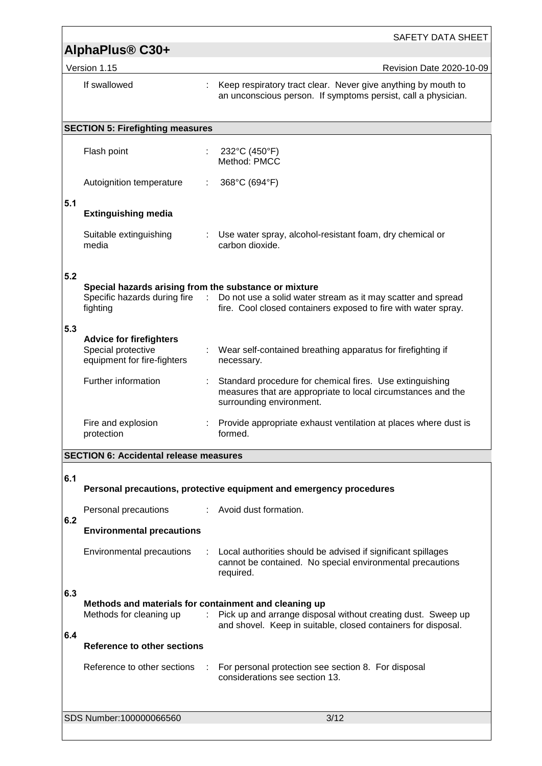|                                                                         | <b>SAFETY DATA SHEET</b>                                                              |                                                                                                                                                               |  |  |  |  |
|-------------------------------------------------------------------------|---------------------------------------------------------------------------------------|---------------------------------------------------------------------------------------------------------------------------------------------------------------|--|--|--|--|
| AlphaPlus <sup>®</sup> C30+<br>Version 1.15<br>Revision Date 2020-10-09 |                                                                                       |                                                                                                                                                               |  |  |  |  |
|                                                                         | If swallowed                                                                          | Keep respiratory tract clear. Never give anything by mouth to<br>an unconscious person. If symptoms persist, call a physician.                                |  |  |  |  |
|                                                                         | <b>SECTION 5: Firefighting measures</b>                                               |                                                                                                                                                               |  |  |  |  |
|                                                                         |                                                                                       |                                                                                                                                                               |  |  |  |  |
|                                                                         | Flash point                                                                           | 232°C (450°F)<br>Method: PMCC                                                                                                                                 |  |  |  |  |
|                                                                         | Autoignition temperature                                                              | 368°C (694°F)                                                                                                                                                 |  |  |  |  |
| 5.1                                                                     |                                                                                       |                                                                                                                                                               |  |  |  |  |
|                                                                         | <b>Extinguishing media</b>                                                            |                                                                                                                                                               |  |  |  |  |
|                                                                         | Suitable extinguishing<br>media                                                       | : Use water spray, alcohol-resistant foam, dry chemical or<br>carbon dioxide.                                                                                 |  |  |  |  |
| 5.2                                                                     |                                                                                       |                                                                                                                                                               |  |  |  |  |
|                                                                         | Special hazards arising from the substance or mixture<br>fighting                     | Specific hazards during fire : Do not use a solid water stream as it may scatter and spread<br>fire. Cool closed containers exposed to fire with water spray. |  |  |  |  |
| 5.3                                                                     | <b>Advice for firefighters</b><br>Special protective<br>equipment for fire-fighters   | : Wear self-contained breathing apparatus for firefighting if<br>necessary.                                                                                   |  |  |  |  |
|                                                                         | Further information                                                                   | Standard procedure for chemical fires. Use extinguishing<br>measures that are appropriate to local circumstances and the<br>surrounding environment.          |  |  |  |  |
|                                                                         | Fire and explosion<br>protection                                                      | Provide appropriate exhaust ventilation at places where dust is<br>formed.                                                                                    |  |  |  |  |
|                                                                         | <b>SECTION 6: Accidental release measures</b>                                         |                                                                                                                                                               |  |  |  |  |
| 6.1                                                                     |                                                                                       | Personal precautions, protective equipment and emergency procedures                                                                                           |  |  |  |  |
|                                                                         | Personal precautions                                                                  | : Avoid dust formation.                                                                                                                                       |  |  |  |  |
| 6.2                                                                     | <b>Environmental precautions</b>                                                      |                                                                                                                                                               |  |  |  |  |
|                                                                         | Environmental precautions                                                             | Local authorities should be advised if significant spillages<br>cannot be contained. No special environmental precautions<br>required.                        |  |  |  |  |
| 6.3<br>6.4                                                              | Methods and materials for containment and cleaning up<br>Methods for cleaning up<br>÷ | Pick up and arrange disposal without creating dust. Sweep up<br>and shovel. Keep in suitable, closed containers for disposal.                                 |  |  |  |  |
|                                                                         | Reference to other sections                                                           |                                                                                                                                                               |  |  |  |  |
|                                                                         | Reference to other sections                                                           | For personal protection see section 8. For disposal<br>considerations see section 13.                                                                         |  |  |  |  |
|                                                                         | SDS Number:100000066560                                                               | 3/12                                                                                                                                                          |  |  |  |  |
|                                                                         |                                                                                       |                                                                                                                                                               |  |  |  |  |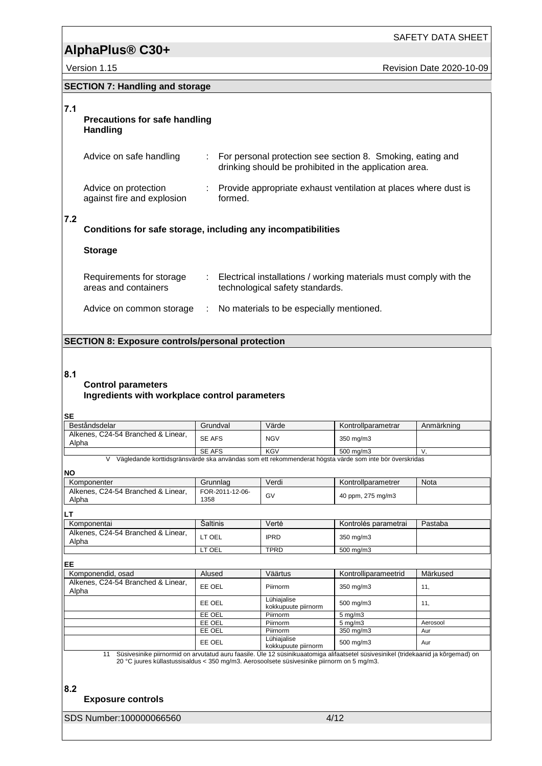Version 1.15 **Version 1.15** Revision Date 2020-10-09

|  |  | <b>SECTION 7: Handling and storage</b> |
|--|--|----------------------------------------|
|--|--|----------------------------------------|

#### **7.1**

#### **Precautions for safe handling Handling**

| Advice on safe handling                            | : For personal protection see section 8. Smoking, eating and<br>drinking should be prohibited in the application area. |
|----------------------------------------------------|------------------------------------------------------------------------------------------------------------------------|
| Advice on protection<br>against fire and explosion | : Provide appropriate exhaust ventilation at places where dust is<br>formed.                                           |

#### **7.2**

### **Conditions for safe storage, including any incompatibilities**

#### **Storage**

| Requirements for storage<br>areas and containers | Electrical installations / working materials must comply with the<br>technological safety standards. |
|--------------------------------------------------|------------------------------------------------------------------------------------------------------|
| Advice on common storage                         | : No materials to be especially mentioned.                                                           |

#### **SECTION 8: Exposure controls/personal protection**

#### **8.1**

#### **Control parameters Ingredients with workplace control parameters**

#### **SE**

| Beståndsdelar                                                                                          | Grundval | Värde      | Kontrollparametrar   | Anmärkning |  |
|--------------------------------------------------------------------------------------------------------|----------|------------|----------------------|------------|--|
| Alkenes, C24-54 Branched & Linear.<br>Alpha                                                            | SE AFS   | <b>NGV</b> | 350 mg/m3            |            |  |
|                                                                                                        | SE AFS   | KGV        | $500 \text{ ma/m}$ 3 |            |  |
| Vägledande korttidsgränsvärde ska användas som ett rekommenderat högsta värde som inte bör överskridas |          |            |                      |            |  |

#### **NO**

| Komponenter                                 | Grunnlag                | Verdi                              | Kontrollparametrer                                                                                                                 | <b>Nota</b> |
|---------------------------------------------|-------------------------|------------------------------------|------------------------------------------------------------------------------------------------------------------------------------|-------------|
| Alkenes, C24-54 Branched & Linear,<br>Alpha | FOR-2011-12-06-<br>1358 | GV                                 | 40 ppm, 275 mg/m3                                                                                                                  |             |
| LΤ                                          |                         |                                    |                                                                                                                                    |             |
| Komponentai                                 | Šaltinis                | Vertė                              | Kontrolės parametrai                                                                                                               | Pastaba     |
| Alkenes, C24-54 Branched & Linear,<br>Alpha | LT OEL                  | <b>IPRD</b>                        | 350 mg/m3                                                                                                                          |             |
|                                             | LT OEL                  | <b>TPRD</b>                        | 500 mg/m3                                                                                                                          |             |
| EE                                          |                         |                                    |                                                                                                                                    |             |
| Komponendid, osad                           | Alused                  | Väärtus                            | Kontrolliparameetrid                                                                                                               | Märkused    |
| Alkenes, C24-54 Branched & Linear,<br>Alpha | EE OEL                  | Piirnorm                           | 350 mg/m3                                                                                                                          | 11,         |
|                                             | EE OEL                  | Lühiajalise<br>kokkupuute piirnorm | 500 mg/m3                                                                                                                          | 11,         |
|                                             | EE OEL                  | Piirnorm                           | $5 \text{ mg/m}$ 3                                                                                                                 |             |
|                                             | EE OEL                  | Piirnorm                           | $5 \text{ mg/m}$ 3                                                                                                                 | Aerosool    |
|                                             | EE OEL                  | Piirnorm                           | 350 mg/m3                                                                                                                          | Aur         |
|                                             | EE OEL                  | Lühiajalise<br>kokkupuute piirnorm | 500 mg/m3                                                                                                                          | Aur         |
| 11                                          |                         |                                    | Süsiyesinike niirnormid on arvutatud auru faasile. Üle 12 süsinikuaatomiga alifaatsetel süsiyesinikel (tridekaanid ja kõrgemad) on |             |

11 Süsivesinike piirnormid on arvutatud auru faasile. Üle 12 süsinikuaatomiga alifaatsetel süsivesinikel (tridekaanid ja kõrgemad) on 20 °C juures küllastussisaldus < 350 mg/m3. Aerosoolsete süsivesinike piirnorm on 5 mg/m3.

**8.2** 

#### **Exposure controls**

SDS Number:100000066560 4/12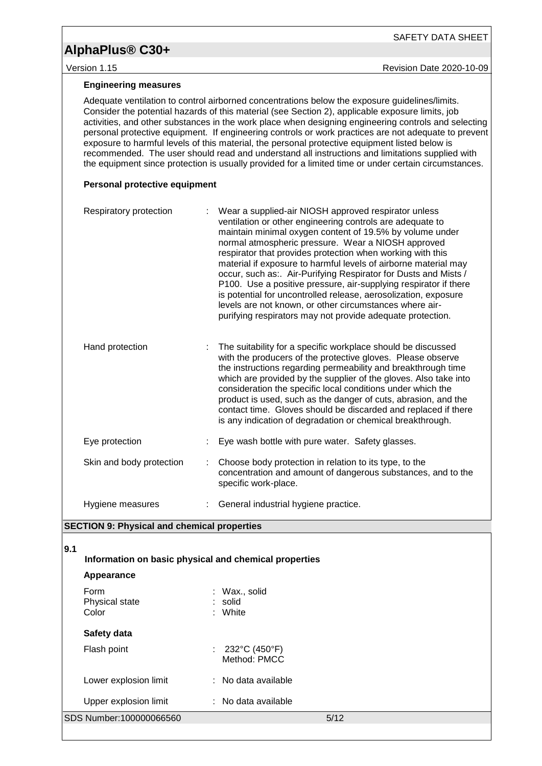# SAFETY DATA SHEET

Version 1.15 **New Search 2020-10-09** Revision Date 2020-10-09

#### **Engineering measures**

Adequate ventilation to control airborned concentrations below the exposure guidelines/limits. Consider the potential hazards of this material (see Section 2), applicable exposure limits, job activities, and other substances in the work place when designing engineering controls and selecting personal protective equipment. If engineering controls or work practices are not adequate to prevent exposure to harmful levels of this material, the personal protective equipment listed below is recommended. The user should read and understand all instructions and limitations supplied with the equipment since protection is usually provided for a limited time or under certain circumstances.

#### **Personal protective equipment**

| Respiratory protection   |    | Wear a supplied-air NIOSH approved respirator unless<br>ventilation or other engineering controls are adequate to<br>maintain minimal oxygen content of 19.5% by volume under<br>normal atmospheric pressure. Wear a NIOSH approved<br>respirator that provides protection when working with this<br>material if exposure to harmful levels of airborne material may<br>occur, such as: Air-Purifying Respirator for Dusts and Mists /<br>P100. Use a positive pressure, air-supplying respirator if there<br>is potential for uncontrolled release, aerosolization, exposure<br>levels are not known, or other circumstances where air-<br>purifying respirators may not provide adequate protection. |
|--------------------------|----|--------------------------------------------------------------------------------------------------------------------------------------------------------------------------------------------------------------------------------------------------------------------------------------------------------------------------------------------------------------------------------------------------------------------------------------------------------------------------------------------------------------------------------------------------------------------------------------------------------------------------------------------------------------------------------------------------------|
| Hand protection          |    | The suitability for a specific workplace should be discussed<br>with the producers of the protective gloves. Please observe<br>the instructions regarding permeability and breakthrough time<br>which are provided by the supplier of the gloves. Also take into<br>consideration the specific local conditions under which the<br>product is used, such as the danger of cuts, abrasion, and the<br>contact time. Gloves should be discarded and replaced if there<br>is any indication of degradation or chemical breakthrough.                                                                                                                                                                      |
| Eye protection           |    | Eye wash bottle with pure water. Safety glasses.                                                                                                                                                                                                                                                                                                                                                                                                                                                                                                                                                                                                                                                       |
| Skin and body protection | ÷. | Choose body protection in relation to its type, to the<br>concentration and amount of dangerous substances, and to the<br>specific work-place.                                                                                                                                                                                                                                                                                                                                                                                                                                                                                                                                                         |
| Hygiene measures         |    | General industrial hygiene practice.                                                                                                                                                                                                                                                                                                                                                                                                                                                                                                                                                                                                                                                                   |

#### **SECTION 9: Physical and chemical properties**

**9.1** 

|                                                | 19.1 |                                                       |                                     |                                                      |      |  |
|------------------------------------------------|------|-------------------------------------------------------|-------------------------------------|------------------------------------------------------|------|--|
|                                                |      | Information on basic physical and chemical properties |                                     |                                                      |      |  |
|                                                |      | Appearance                                            |                                     |                                                      |      |  |
| Form<br>Physical state<br>Color<br>Safety data |      |                                                       | : Wax., solid<br>: solid<br>: White |                                                      |      |  |
|                                                |      |                                                       |                                     |                                                      |      |  |
|                                                |      | Flash point                                           |                                     | : $232^{\circ}$ C (450 $^{\circ}$ F)<br>Method: PMCC |      |  |
|                                                |      | Lower explosion limit                                 |                                     | $:$ No data available                                |      |  |
|                                                |      | Upper explosion limit                                 |                                     | : No data available                                  |      |  |
|                                                |      | SDS Number:100000066560                               |                                     |                                                      | 5/12 |  |
|                                                |      |                                                       |                                     |                                                      |      |  |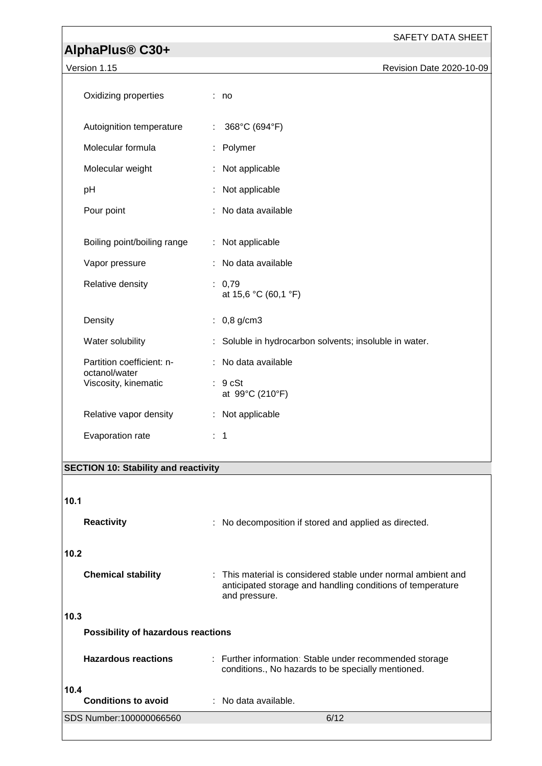#### SAFETY DATA SHEET

## **AlphaPlus® C30+**

| Version 1.15                               | Revision Date 2020-10-09                             |
|--------------------------------------------|------------------------------------------------------|
| Oxidizing properties                       | : no                                                 |
| Autoignition temperature                   | 368°C (694°F)                                        |
| Molecular formula                          | Polymer                                              |
| Molecular weight                           | Not applicable                                       |
| pH                                         | Not applicable                                       |
| Pour point                                 | : No data available                                  |
|                                            |                                                      |
| Boiling point/boiling range                | : Not applicable                                     |
| Vapor pressure                             | : No data available                                  |
| Relative density                           | : 0.79<br>at 15,6 °C (60,1 °F)                       |
| Density                                    | : $0,8$ g/cm3                                        |
| Water solubility                           | Soluble in hydrocarbon solvents; insoluble in water. |
| Partition coefficient: n-<br>octanol/water | : No data available                                  |
| Viscosity, kinematic                       | : 9 cSt<br>at 99°C (210°F)                           |
| Relative vapor density                     | : Not applicable                                     |
| Evaporation rate                           | $\therefore$ 1                                       |

### **SECTION 10: Stability and reactivity**

### **10.1**

|      | <b>Reactivity</b>                         |                        | : No decomposition if stored and applied as directed.                                                                       |
|------|-------------------------------------------|------------------------|-----------------------------------------------------------------------------------------------------------------------------|
|      |                                           |                        |                                                                                                                             |
| 10.2 |                                           |                        |                                                                                                                             |
|      | <b>Chemical stability</b>                 | and pressure.          | : This material is considered stable under normal ambient and<br>anticipated storage and handling conditions of temperature |
| 10.3 |                                           |                        |                                                                                                                             |
|      | <b>Possibility of hazardous reactions</b> |                        |                                                                                                                             |
|      | <b>Hazardous reactions</b>                |                        | : Further information: Stable under recommended storage<br>conditions., No hazards to be specially mentioned.               |
| 10.4 | <b>Conditions to avoid</b>                | $:$ No data available. |                                                                                                                             |
|      | SDS Number:100000066560                   |                        | 6/12                                                                                                                        |
|      |                                           |                        |                                                                                                                             |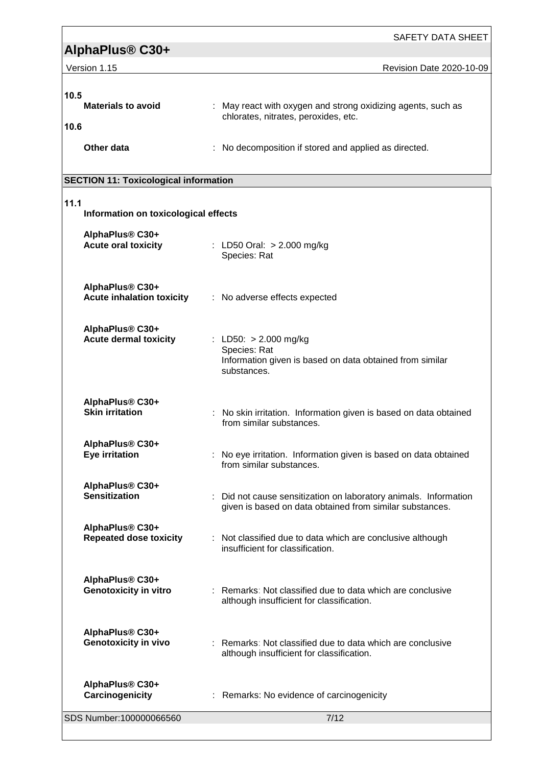| SAFETY DATA SHEET                                               |                                                                                                                              |  |  |
|-----------------------------------------------------------------|------------------------------------------------------------------------------------------------------------------------------|--|--|
| AlphaPlus <sup>®</sup> C30+                                     |                                                                                                                              |  |  |
| Version 1.15                                                    | Revision Date 2020-10-09                                                                                                     |  |  |
| 10.5<br><b>Materials to avoid</b><br>10.6                       | : May react with oxygen and strong oxidizing agents, such as<br>chlorates, nitrates, peroxides, etc.                         |  |  |
| Other data                                                      | : No decomposition if stored and applied as directed.                                                                        |  |  |
| <b>SECTION 11: Toxicological information</b>                    |                                                                                                                              |  |  |
|                                                                 |                                                                                                                              |  |  |
| 11.1<br>Information on toxicological effects                    |                                                                                                                              |  |  |
| AlphaPlus <sup>®</sup> C30+<br><b>Acute oral toxicity</b>       | : LD50 Oral: > 2.000 mg/kg<br>Species: Rat                                                                                   |  |  |
| AlphaPlus <sup>®</sup> C30+<br><b>Acute inhalation toxicity</b> | : No adverse effects expected                                                                                                |  |  |
| AlphaPlus <sup>®</sup> C30+<br><b>Acute dermal toxicity</b>     | : LD50: > 2.000 mg/kg<br>Species: Rat<br>Information given is based on data obtained from similar<br>substances.             |  |  |
| AlphaPlus® C30+<br><b>Skin irritation</b>                       | No skin irritation. Information given is based on data obtained<br>from similar substances.                                  |  |  |
| AlphaPlus® C30+<br>Eye irritation                               | : No eye irritation. Information given is based on data obtained<br>from similar substances.                                 |  |  |
| AlphaPlus <sup>®</sup> C30+<br><b>Sensitization</b>             | : Did not cause sensitization on laboratory animals. Information<br>given is based on data obtained from similar substances. |  |  |
| AlphaPlus® C30+<br><b>Repeated dose toxicity</b>                | : Not classified due to data which are conclusive although<br>insufficient for classification.                               |  |  |
| AlphaPlus® C30+<br><b>Genotoxicity in vitro</b>                 | : Remarks: Not classified due to data which are conclusive<br>although insufficient for classification.                      |  |  |
| AlphaPlus® C30+<br><b>Genotoxicity in vivo</b>                  | : Remarks: Not classified due to data which are conclusive<br>although insufficient for classification.                      |  |  |
| AlphaPlus® C30+<br>Carcinogenicity                              | : Remarks: No evidence of carcinogenicity                                                                                    |  |  |
| SDS Number:100000066560                                         | 7/12                                                                                                                         |  |  |

<u> 1989 - Johann Barn, amerikansk politiker (d. 1989)</u>

r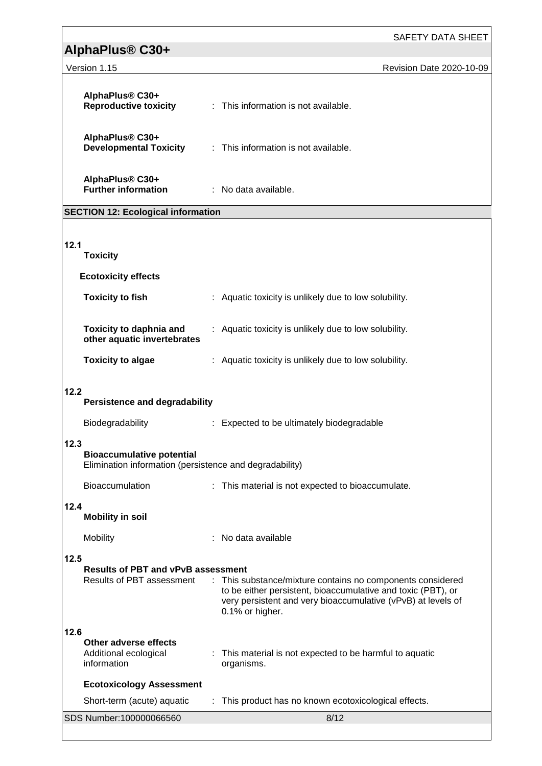|                                                                                                     | SAFETY DATA SHEET                                                                                                                                                                                             |  |
|-----------------------------------------------------------------------------------------------------|---------------------------------------------------------------------------------------------------------------------------------------------------------------------------------------------------------------|--|
| AlphaPlus <sup>®</sup> C30+                                                                         |                                                                                                                                                                                                               |  |
| Version 1.15                                                                                        | Revision Date 2020-10-09                                                                                                                                                                                      |  |
| AlphaPlus® C30+<br><b>Reproductive toxicity</b>                                                     | : This information is not available.                                                                                                                                                                          |  |
| AlphaPlus® C30+<br><b>Developmental Toxicity</b>                                                    | : This information is not available.                                                                                                                                                                          |  |
| AlphaPlus® C30+<br><b>Further information</b>                                                       | : No data available.                                                                                                                                                                                          |  |
| <b>SECTION 12: Ecological information</b>                                                           |                                                                                                                                                                                                               |  |
| 12.1<br><b>Toxicity</b>                                                                             |                                                                                                                                                                                                               |  |
| <b>Ecotoxicity effects</b>                                                                          |                                                                                                                                                                                                               |  |
| <b>Toxicity to fish</b>                                                                             | : Aquatic toxicity is unlikely due to low solubility.                                                                                                                                                         |  |
| <b>Toxicity to daphnia and</b><br>other aquatic invertebrates                                       | : Aquatic toxicity is unlikely due to low solubility.                                                                                                                                                         |  |
| <b>Toxicity to algae</b>                                                                            | : Aquatic toxicity is unlikely due to low solubility.                                                                                                                                                         |  |
| 12.2<br><b>Persistence and degradability</b>                                                        |                                                                                                                                                                                                               |  |
| Biodegradability                                                                                    | : Expected to be ultimately biodegradable                                                                                                                                                                     |  |
| 12.3<br><b>Bioaccumulative potential</b><br>Elimination information (persistence and degradability) |                                                                                                                                                                                                               |  |
| Bioaccumulation                                                                                     | : This material is not expected to bioaccumulate.                                                                                                                                                             |  |
| 12.4<br><b>Mobility in soil</b>                                                                     |                                                                                                                                                                                                               |  |
| Mobility                                                                                            | No data available                                                                                                                                                                                             |  |
| 12.5<br><b>Results of PBT and vPvB assessment</b><br>Results of PBT assessment                      | : This substance/mixture contains no components considered<br>to be either persistent, bioaccumulative and toxic (PBT), or<br>very persistent and very bioaccumulative (vPvB) at levels of<br>0.1% or higher. |  |
| 12.6<br>Other adverse effects<br>Additional ecological<br>information                               | This material is not expected to be harmful to aquatic<br>organisms.                                                                                                                                          |  |
| <b>Ecotoxicology Assessment</b>                                                                     |                                                                                                                                                                                                               |  |
| Short-term (acute) aquatic                                                                          | This product has no known ecotoxicological effects.                                                                                                                                                           |  |
| SDS Number:100000066560                                                                             | 8/12                                                                                                                                                                                                          |  |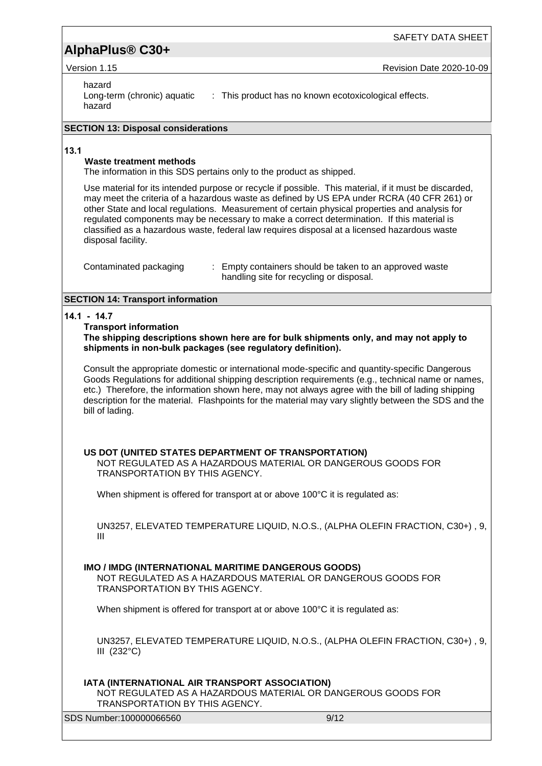SAFETY DATA SHEET

Version 1.15 **Revision Date 2020-10-09** 

#### hazard

Long-term (chronic) aquatic hazard : This product has no known ecotoxicological effects.

#### **SECTION 13: Disposal considerations**

#### **13.1**

#### **Waste treatment methods**

The information in this SDS pertains only to the product as shipped.

Use material for its intended purpose or recycle if possible. This material, if it must be discarded, may meet the criteria of a hazardous waste as defined by US EPA under RCRA (40 CFR 261) or other State and local regulations. Measurement of certain physical properties and analysis for regulated components may be necessary to make a correct determination. If this material is classified as a hazardous waste, federal law requires disposal at a licensed hazardous waste disposal facility.

| Contaminated packaging | : Empty containers should be taken to an approved waste |
|------------------------|---------------------------------------------------------|
|                        | handling site for recycling or disposal.                |

#### **SECTION 14: Transport information**

#### **14.1 - 14.7**

#### **Transport information**

**The shipping descriptions shown here are for bulk shipments only, and may not apply to shipments in non-bulk packages (see regulatory definition).**

Consult the appropriate domestic or international mode-specific and quantity-specific Dangerous Goods Regulations for additional shipping description requirements (e.g., technical name or names, etc.) Therefore, the information shown here, may not always agree with the bill of lading shipping description for the material. Flashpoints for the material may vary slightly between the SDS and the bill of lading.

#### **US DOT (UNITED STATES DEPARTMENT OF TRANSPORTATION)**

NOT REGULATED AS A HAZARDOUS MATERIAL OR DANGEROUS GOODS FOR TRANSPORTATION BY THIS AGENCY.

When shipment is offered for transport at or above 100°C it is regulated as:

UN3257, ELEVATED TEMPERATURE LIQUID, N.O.S., (ALPHA OLEFIN FRACTION, C30+) , 9, III

#### **IMO / IMDG (INTERNATIONAL MARITIME DANGEROUS GOODS)**

NOT REGULATED AS A HAZARDOUS MATERIAL OR DANGEROUS GOODS FOR TRANSPORTATION BY THIS AGENCY.

When shipment is offered for transport at or above 100°C it is regulated as:

UN3257, ELEVATED TEMPERATURE LIQUID, N.O.S., (ALPHA OLEFIN FRACTION, C30+) , 9, III (232°C)

#### **IATA (INTERNATIONAL AIR TRANSPORT ASSOCIATION)**

NOT REGULATED AS A HAZARDOUS MATERIAL OR DANGEROUS GOODS FOR TRANSPORTATION BY THIS AGENCY.

SDS Number:100000066560 9/12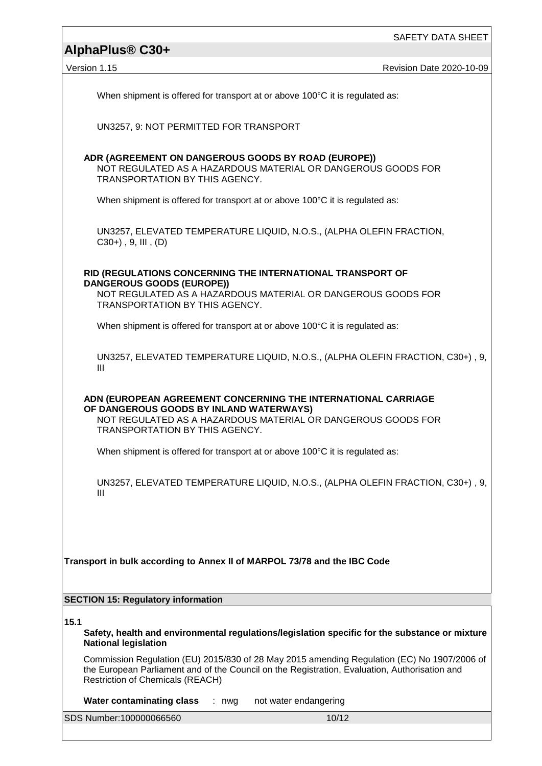Version 1.15 **Revision Date 2020-10-09** 

When shipment is offered for transport at or above 100°C it is regulated as:

UN3257, 9: NOT PERMITTED FOR TRANSPORT

#### **ADR (AGREEMENT ON DANGEROUS GOODS BY ROAD (EUROPE))**

NOT REGULATED AS A HAZARDOUS MATERIAL OR DANGEROUS GOODS FOR TRANSPORTATION BY THIS AGENCY.

When shipment is offered for transport at or above 100°C it is regulated as:

UN3257, ELEVATED TEMPERATURE LIQUID, N.O.S., (ALPHA OLEFIN FRACTION,  $C30+)$ , 9, III,  $(D)$ 

#### **RID (REGULATIONS CONCERNING THE INTERNATIONAL TRANSPORT OF DANGEROUS GOODS (EUROPE))**

NOT REGULATED AS A HAZARDOUS MATERIAL OR DANGEROUS GOODS FOR TRANSPORTATION BY THIS AGENCY.

When shipment is offered for transport at or above 100°C it is regulated as:

UN3257, ELEVATED TEMPERATURE LIQUID, N.O.S., (ALPHA OLEFIN FRACTION, C30+) , 9, III

**ADN (EUROPEAN AGREEMENT CONCERNING THE INTERNATIONAL CARRIAGE OF DANGEROUS GOODS BY INLAND WATERWAYS)** NOT REGULATED AS A HAZARDOUS MATERIAL OR DANGEROUS GOODS FOR TRANSPORTATION BY THIS AGENCY.

When shipment is offered for transport at or above 100°C it is regulated as:

UN3257, ELEVATED TEMPERATURE LIQUID, N.O.S., (ALPHA OLEFIN FRACTION, C30+) , 9, III

**Transport in bulk according to Annex II of MARPOL 73/78 and the IBC Code**

#### **SECTION 15: Regulatory information**

**15.1**

**Safety, health and environmental regulations/legislation specific for the substance or mixture National legislation**

Commission Regulation (EU) 2015/830 of 28 May 2015 amending Regulation (EC) No 1907/2006 of the European Parliament and of the Council on the Registration, Evaluation, Authorisation and Restriction of Chemicals (REACH)

**Water contaminating class** : nwg not water endangering

SDS Number:100000066560 10/12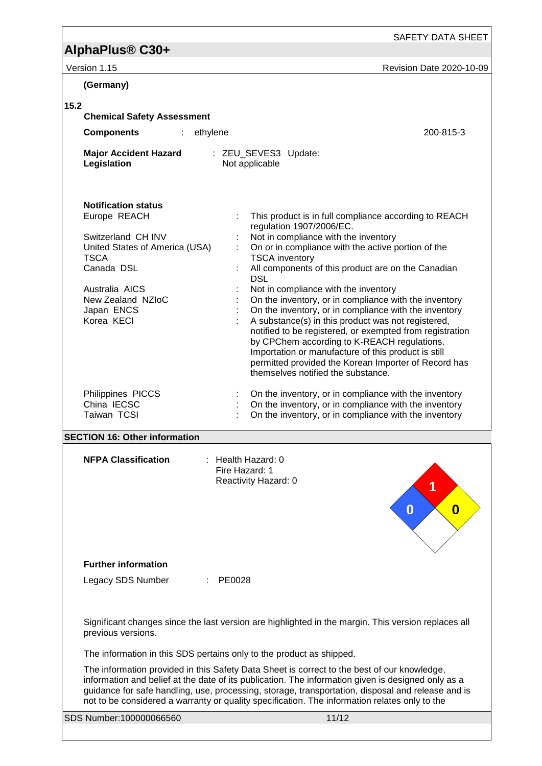SAFETY DATA SHEET

| Version 1.15                                                                                                                                                                                       | Revision Date 2020-10-09                                                                                                                                                                                                                                                                                                                                                                                                                                                                                                                                                                                                                                                                                                                                     |
|----------------------------------------------------------------------------------------------------------------------------------------------------------------------------------------------------|--------------------------------------------------------------------------------------------------------------------------------------------------------------------------------------------------------------------------------------------------------------------------------------------------------------------------------------------------------------------------------------------------------------------------------------------------------------------------------------------------------------------------------------------------------------------------------------------------------------------------------------------------------------------------------------------------------------------------------------------------------------|
| (Germany)                                                                                                                                                                                          |                                                                                                                                                                                                                                                                                                                                                                                                                                                                                                                                                                                                                                                                                                                                                              |
| 15.2                                                                                                                                                                                               |                                                                                                                                                                                                                                                                                                                                                                                                                                                                                                                                                                                                                                                                                                                                                              |
| <b>Chemical Safety Assessment</b>                                                                                                                                                                  |                                                                                                                                                                                                                                                                                                                                                                                                                                                                                                                                                                                                                                                                                                                                                              |
| <b>Components</b><br>ethylene<br>$\mathcal{L}_{\mathcal{A}}$                                                                                                                                       | 200-815-3                                                                                                                                                                                                                                                                                                                                                                                                                                                                                                                                                                                                                                                                                                                                                    |
| <b>Major Accident Hazard</b><br>Legislation                                                                                                                                                        | : ZEU_SEVES3 Update:<br>Not applicable                                                                                                                                                                                                                                                                                                                                                                                                                                                                                                                                                                                                                                                                                                                       |
| <b>Notification status</b><br>Europe REACH<br>Switzerland CH INV<br>United States of America (USA)<br><b>TSCA</b><br>Canada DSL<br>Australia AICS<br>New Zealand NZIoC<br>Japan ENCS<br>Korea KECI | This product is in full compliance according to REACH<br>regulation 1907/2006/EC.<br>Not in compliance with the inventory<br>On or in compliance with the active portion of the<br><b>TSCA</b> inventory<br>All components of this product are on the Canadian<br><b>DSL</b><br>Not in compliance with the inventory<br>On the inventory, or in compliance with the inventory<br>On the inventory, or in compliance with the inventory<br>A substance(s) in this product was not registered,<br>notified to be registered, or exempted from registration<br>by CPChem according to K-REACH regulations.<br>Importation or manufacture of this product is still<br>permitted provided the Korean Importer of Record has<br>themselves notified the substance. |
| Philippines PICCS<br>China IECSC<br>Taiwan TCSI                                                                                                                                                    | On the inventory, or in compliance with the inventory<br>On the inventory, or in compliance with the inventory<br>On the inventory, or in compliance with the inventory                                                                                                                                                                                                                                                                                                                                                                                                                                                                                                                                                                                      |
| <b>SECTION 16: Other information</b>                                                                                                                                                               |                                                                                                                                                                                                                                                                                                                                                                                                                                                                                                                                                                                                                                                                                                                                                              |
| <b>NFPA Classification</b>                                                                                                                                                                         | $:$ Health Hazard: 0<br>Fire Hazard: 1<br>Reactivity Hazard: 0<br>0<br>0                                                                                                                                                                                                                                                                                                                                                                                                                                                                                                                                                                                                                                                                                     |
|                                                                                                                                                                                                    |                                                                                                                                                                                                                                                                                                                                                                                                                                                                                                                                                                                                                                                                                                                                                              |
| <b>Further information</b><br>Legacy SDS Number                                                                                                                                                    | PE0028                                                                                                                                                                                                                                                                                                                                                                                                                                                                                                                                                                                                                                                                                                                                                       |
| previous versions.                                                                                                                                                                                 | Significant changes since the last version are highlighted in the margin. This version replaces all                                                                                                                                                                                                                                                                                                                                                                                                                                                                                                                                                                                                                                                          |
|                                                                                                                                                                                                    | The information in this SDS pertains only to the product as shipped.                                                                                                                                                                                                                                                                                                                                                                                                                                                                                                                                                                                                                                                                                         |
|                                                                                                                                                                                                    | The information provided in this Safety Data Sheet is correct to the best of our knowledge,<br>information and belief at the date of its publication. The information given is designed only as a                                                                                                                                                                                                                                                                                                                                                                                                                                                                                                                                                            |

information and belief at the date of its publication. The information given is designed only as a guidance for safe handling, use, processing, storage, transportation, disposal and release and is not to be considered a warranty or quality specification. The information relates only to the

SDS Number:100000066560 11/12